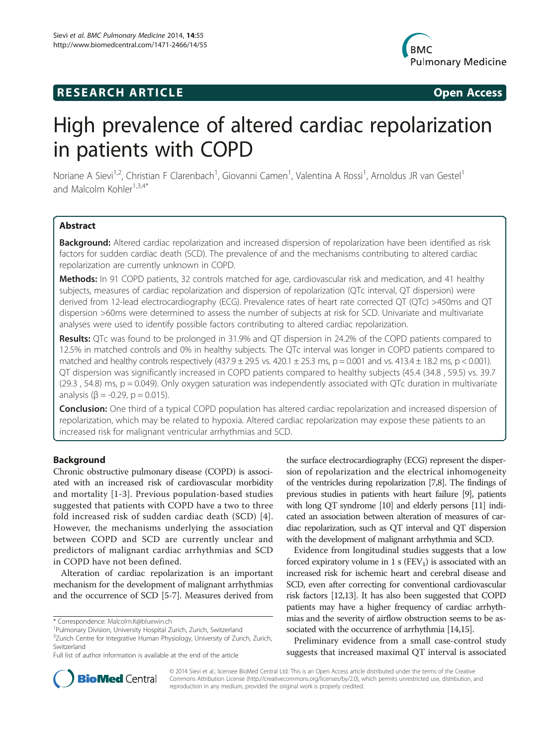## **RESEARCH ARTICLE Example 2018 CONSIDERING CONSIDERING CONSIDERING CONSIDERING CONSIDERING CONSIDERING CONSIDERING CONSIDERING CONSIDERING CONSIDERING CONSIDERING CONSIDERING CONSIDERING CONSIDERING CONSIDERING CONSIDE**



# High prevalence of altered cardiac repolarization in patients with COPD

Noriane A Sievi<sup>1,2</sup>, Christian F Clarenbach<sup>1</sup>, Giovanni Camen<sup>1</sup>, Valentina A Rossi<sup>1</sup>, Arnoldus JR van Gestel<sup>1</sup> and Malcolm Kohler<sup>1,3,4\*</sup>

## Abstract

Background: Altered cardiac repolarization and increased dispersion of repolarization have been identified as risk factors for sudden cardiac death (SCD). The prevalence of and the mechanisms contributing to altered cardiac repolarization are currently unknown in COPD.

Methods: In 91 COPD patients, 32 controls matched for age, cardiovascular risk and medication, and 41 healthy subjects, measures of cardiac repolarization and dispersion of repolarization (QTc interval, QT dispersion) were derived from 12-lead electrocardiography (ECG). Prevalence rates of heart rate corrected QT (QTc) >450ms and QT dispersion >60ms were determined to assess the number of subjects at risk for SCD. Univariate and multivariate analyses were used to identify possible factors contributing to altered cardiac repolarization.

Results: QTc was found to be prolonged in 31.9% and QT dispersion in 24.2% of the COPD patients compared to 12.5% in matched controls and 0% in healthy subjects. The QTc interval was longer in COPD patients compared to matched and healthy controls respectively  $(437.9 \pm 29.5 \text{ vs. } 420.1 \pm 25.3 \text{ ms}, p = 0.001 \text{ and vs. } 413.4 \pm 18.2 \text{ ms}, p < 0.001$ ). QT dispersion was significantly increased in COPD patients compared to healthy subjects (45.4 (34.8 , 59.5) vs. 39.7  $(29.3, 54.8)$  ms,  $p = 0.049$ ). Only oxygen saturation was independently associated with QTc duration in multivariate analysis ( $β = -0.29$ ,  $p = 0.015$ ).

**Conclusion:** One third of a typical COPD population has altered cardiac repolarization and increased dispersion of repolarization, which may be related to hypoxia. Altered cardiac repolarization may expose these patients to an increased risk for malignant ventricular arrhythmias and SCD.

#### Background

Chronic obstructive pulmonary disease (COPD) is associated with an increased risk of cardiovascular morbidity and mortality [\[1](#page-6-0)-[3](#page-6-0)]. Previous population-based studies suggested that patients with COPD have a two to three fold increased risk of sudden cardiac death (SCD) [[4](#page-6-0)]. However, the mechanisms underlying the association between COPD and SCD are currently unclear and predictors of malignant cardiac arrhythmias and SCD in COPD have not been defined.

Alteration of cardiac repolarization is an important mechanism for the development of malignant arrhythmias and the occurrence of SCD [[5-7](#page-6-0)]. Measures derived from the surface electrocardiography (ECG) represent the dispersion of repolarization and the electrical inhomogeneity of the ventricles during repolarization [\[7,8](#page-6-0)]. The findings of previous studies in patients with heart failure [\[9](#page-6-0)], patients with long QT syndrome [\[10\]](#page-6-0) and elderly persons [[11\]](#page-6-0) indicated an association between alteration of measures of cardiac repolarization, such as QT interval and QT dispersion with the development of malignant arrhythmia and SCD.

Evidence from longitudinal studies suggests that a low forced expiratory volume in 1 s  $(FEV_1)$  is associated with an increased risk for ischemic heart and cerebral disease and SCD, even after correcting for conventional cardiovascular risk factors [\[12,13](#page-6-0)]. It has also been suggested that COPD patients may have a higher frequency of cardiac arrhythmias and the severity of airflow obstruction seems to be associated with the occurrence of arrhythmia [[14,15](#page-6-0)].

Preliminary evidence from a small case-control study suggests that increased maximal QT interval is associated



© 2014 Sievi et al.; licensee BioMed Central Ltd. This is an Open Access article distributed under the terms of the Creative Commons Attribution License [\(http://creativecommons.org/licenses/by/2.0\)](http://creativecommons.org/licenses/by/2.0), which permits unrestricted use, distribution, and reproduction in any medium, provided the original work is properly credited.

<sup>\*</sup> Correspondence: [Malcolm.K@bluewin.ch](mailto:Malcolm.K@bluewin.ch) <sup>1</sup>

<sup>&</sup>lt;sup>1</sup>Pulmonary Division, University Hospital Zurich, Zurich, Switzerland

<sup>&</sup>lt;sup>3</sup>Zurich Centre for Integrative Human Physiology, University of Zurich, Zurich, Switzerland

Full list of author information is available at the end of the article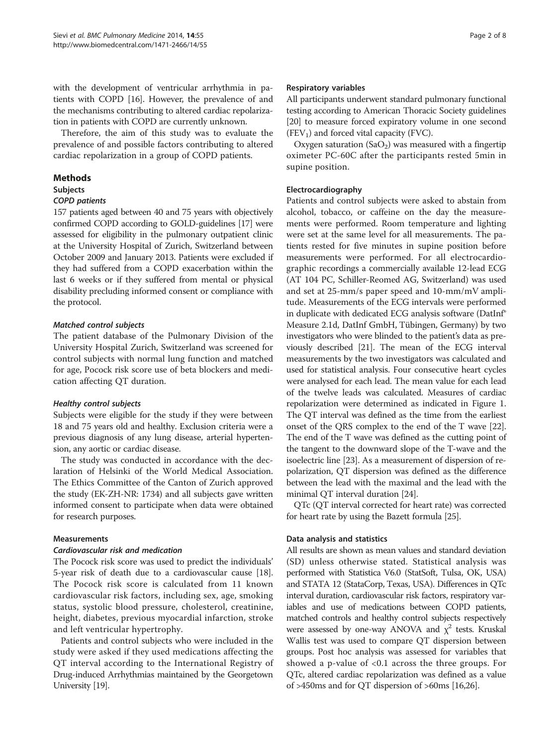with the development of ventricular arrhythmia in patients with COPD [\[16\]](#page-6-0). However, the prevalence of and the mechanisms contributing to altered cardiac repolarization in patients with COPD are currently unknown.

Therefore, the aim of this study was to evaluate the prevalence of and possible factors contributing to altered cardiac repolarization in a group of COPD patients.

## Methods

#### **Subjects**

## COPD patients

157 patients aged between 40 and 75 years with objectively confirmed COPD according to GOLD-guidelines [\[17\]](#page-6-0) were assessed for eligibility in the pulmonary outpatient clinic at the University Hospital of Zurich, Switzerland between October 2009 and January 2013. Patients were excluded if they had suffered from a COPD exacerbation within the last 6 weeks or if they suffered from mental or physical disability precluding informed consent or compliance with the protocol.

## Matched control subjects

The patient database of the Pulmonary Division of the University Hospital Zurich, Switzerland was screened for control subjects with normal lung function and matched for age, Pocock risk score use of beta blockers and medication affecting QT duration.

#### Healthy control subjects

Subjects were eligible for the study if they were between 18 and 75 years old and healthy. Exclusion criteria were a previous diagnosis of any lung disease, arterial hypertension, any aortic or cardiac disease.

The study was conducted in accordance with the declaration of Helsinki of the World Medical Association. The Ethics Committee of the Canton of Zurich approved the study (EK-ZH-NR: 1734) and all subjects gave written informed consent to participate when data were obtained for research purposes.

#### Measurements

#### Cardiovascular risk and medication

The Pocock risk score was used to predict the individuals' 5-year risk of death due to a cardiovascular cause [[18](#page-6-0)]. The Pocock risk score is calculated from 11 known cardiovascular risk factors, including sex, age, smoking status, systolic blood pressure, cholesterol, creatinine, height, diabetes, previous myocardial infarction, stroke and left ventricular hypertrophy.

Patients and control subjects who were included in the study were asked if they used medications affecting the QT interval according to the International Registry of Drug-induced Arrhythmias maintained by the Georgetown University [\[19](#page-6-0)].

All participants underwent standard pulmonary functional testing according to American Thoracic Society guidelines [[20](#page-6-0)] to measure forced expiratory volume in one second  $(FEV<sub>1</sub>)$  and forced vital capacity (FVC).

Oxygen saturation  $(SaO<sub>2</sub>)$  was measured with a fingertip oximeter PC-60C after the participants rested 5min in supine position.

## Electrocardiography

Patients and control subjects were asked to abstain from alcohol, tobacco, or caffeine on the day the measurements were performed. Room temperature and lighting were set at the same level for all measurements. The patients rested for five minutes in supine position before measurements were performed. For all electrocardiographic recordings a commercially available 12-lead ECG (AT 104 PC, Schiller-Reomed AG, Switzerland) was used and set at 25-mm/s paper speed and 10-mm/mV amplitude. Measurements of the ECG intervals were performed in duplicate with dedicated ECG analysis software (DatInf® Measure 2.1d, DatInf GmbH, Tübingen, Germany) by two investigators who were blinded to the patient's data as previously described [\[21\]](#page-6-0). The mean of the ECG interval measurements by the two investigators was calculated and used for statistical analysis. Four consecutive heart cycles were analysed for each lead. The mean value for each lead of the twelve leads was calculated. Measures of cardiac repolarization were determined as indicated in Figure [1](#page-2-0). The QT interval was defined as the time from the earliest onset of the QRS complex to the end of the T wave [[22](#page-6-0)]. The end of the T wave was defined as the cutting point of the tangent to the downward slope of the T-wave and the isoelectric line [[23](#page-6-0)]. As a measurement of dispersion of repolarization, QT dispersion was defined as the difference between the lead with the maximal and the lead with the minimal QT interval duration [\[24\]](#page-6-0).

QTc (QT interval corrected for heart rate) was corrected for heart rate by using the Bazett formula [[25](#page-6-0)].

#### Data analysis and statistics

All results are shown as mean values and standard deviation (SD) unless otherwise stated. Statistical analysis was performed with Statistica V6.0 (StatSoft, Tulsa, OK, USA) and STATA 12 (StataCorp, Texas, USA). Differences in QTc interval duration, cardiovascular risk factors, respiratory variables and use of medications between COPD patients, matched controls and healthy control subjects respectively were assessed by one-way ANOVA and  $\chi^2$  tests. Kruskal Wallis test was used to compare QT dispersion between groups. Post hoc analysis was assessed for variables that showed a p-value of <0.1 across the three groups. For QTc, altered cardiac repolarization was defined as a value of >450ms and for QT dispersion of >60ms [[16,26](#page-6-0)].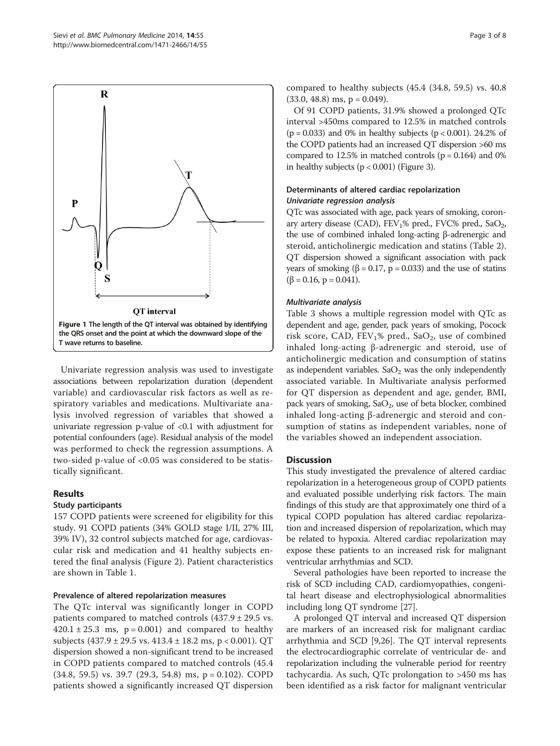<span id="page-2-0"></span>

Univariate regression analysis was used to investigate associations between repolarization duration (dependent variable) and cardiovascular risk factors as well as respiratory variables and medications. Multivariate analysis involved regression of variables that showed a univariate regression p-value of  $< 0.1$  with adjustment for potential confounders (age). Residual analysis of the model was performed to check the regression assumptions. A two-sided p-value of <0.05 was considered to be statistically significant.

#### Results

#### Study participants

157 COPD patients were screened for eligibility for this study. 91 COPD patients (34% GOLD stage I/II, 27% III, 39% IV), 32 control subjects matched for age, cardiovascular risk and medication and 41 healthy subjects entered the final analysis (Figure [2\)](#page-3-0). Patient characteristics are shown in Table [1.](#page-4-0)

## Prevalence of altered repolarization measures

The QTc interval was significantly longer in COPD patients compared to matched controls  $(437.9 \pm 29.5 \text{ vs.})$  $420.1 \pm 25.3$  ms,  $p = 0.001$ ) and compared to healthy subjects (437.9 ± 29.5 vs. 413.4 ± 18.2 ms, p < 0.001). QT dispersion showed a non-significant trend to be increased in COPD patients compared to matched controls (45.4  $(34.8, 59.5)$  vs. 39.7  $(29.3, 54.8)$  ms,  $p = 0.102$ ). COPD patients showed a significantly increased QT dispersion compared to healthy subjects (45.4 (34.8, 59.5) vs. 40.8  $(33.0, 48.8)$  ms,  $p = 0.049$ ).

Of 91 COPD patients, 31.9% showed a prolonged QTc interval >450ms compared to 12.5% in matched controls  $(p = 0.033)$  and 0% in healthy subjects  $(p < 0.001)$ . 24.2% of the COPD patients had an increased QT dispersion >60 ms compared to 12.5% in matched controls  $(p = 0.164)$  and 0% in healthy subjects  $(p < 0.001)$  (Figure [3](#page-5-0)).

## Determinants of altered cardiac repolarization Univariate regression analysis

QTc was associated with age, pack years of smoking, coronary artery disease (CAD),  $FEV<sub>1</sub>%$  pred.,  $FVC%$  pred.,  $SaO<sub>2</sub>$ , the use of combined inhaled long-acting β-adrenergic and steroid, anticholinergic medication and statins (Table [2](#page-5-0)). QT dispersion showed a significant association with pack years of smoking (β = 0.17, p = 0.033) and the use of statins  $(\beta = 0.16, p = 0.041).$ 

#### Multivariate analysis

Table [3](#page-5-0) shows a multiple regression model with QTc as dependent and age, gender, pack years of smoking, Pocock risk score, CAD, FEV<sub>1</sub>% pred., SaO<sub>2</sub>, use of combined inhaled long-acting β-adrenergic and steroid, use of anticholinergic medication and consumption of statins as independent variables.  $SaO<sub>2</sub>$  was the only independently associated variable. In Multivariate analysis performed for QT dispersion as dependent and age, gender, BMI, pack years of smoking,  $SaO<sub>2</sub>$ , use of beta blocker, combined inhaled long-acting β-adrenergic and steroid and consumption of statins as independent variables, none of the variables showed an independent association.

#### **Discussion**

This study investigated the prevalence of altered cardiac repolarization in a heterogeneous group of COPD patients and evaluated possible underlying risk factors. The main findings of this study are that approximately one third of a typical COPD population has altered cardiac repolarization and increased dispersion of repolarization, which may be related to hypoxia. Altered cardiac repolarization may expose these patients to an increased risk for malignant ventricular arrhythmias and SCD.

Several pathologies have been reported to increase the risk of SCD including CAD, cardiomyopathies, congenital heart disease and electrophysiological abnormalities including long QT syndrome [\[27\]](#page-6-0).

A prolonged QT interval and increased QT dispersion are markers of an increased risk for malignant cardiac arrhythmia and SCD [\[9,26\]](#page-6-0). The QT interval represents the electrocardiographic correlate of ventricular de- and repolarization including the vulnerable period for reentry tachycardia. As such, QTc prolongation to >450 ms has been identified as a risk factor for malignant ventricular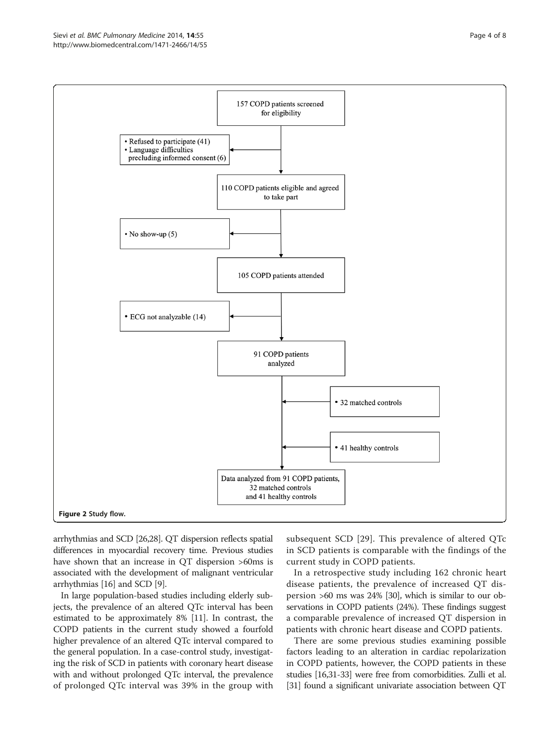<span id="page-3-0"></span>

arrhythmias and SCD [\[26,28](#page-6-0)]. QT dispersion reflects spatial differences in myocardial recovery time. Previous studies have shown that an increase in QT dispersion >60ms is associated with the development of malignant ventricular arrhythmias [\[16](#page-6-0)] and SCD [\[9](#page-6-0)].

In large population-based studies including elderly subjects, the prevalence of an altered QTc interval has been estimated to be approximately 8% [\[11](#page-6-0)]. In contrast, the COPD patients in the current study showed a fourfold higher prevalence of an altered QTc interval compared to the general population. In a case-control study, investigating the risk of SCD in patients with coronary heart disease with and without prolonged QTc interval, the prevalence of prolonged QTc interval was 39% in the group with subsequent SCD [[29](#page-6-0)]. This prevalence of altered QTc in SCD patients is comparable with the findings of the current study in COPD patients.

In a retrospective study including 162 chronic heart disease patients, the prevalence of increased QT dispersion >60 ms was 24% [\[30](#page-6-0)], which is similar to our observations in COPD patients (24%). These findings suggest a comparable prevalence of increased QT dispersion in patients with chronic heart disease and COPD patients.

There are some previous studies examining possible factors leading to an alteration in cardiac repolarization in COPD patients, however, the COPD patients in these studies [[16,31-](#page-6-0)[33](#page-7-0)] were free from comorbidities. Zulli et al. [[31](#page-6-0)] found a significant univariate association between QT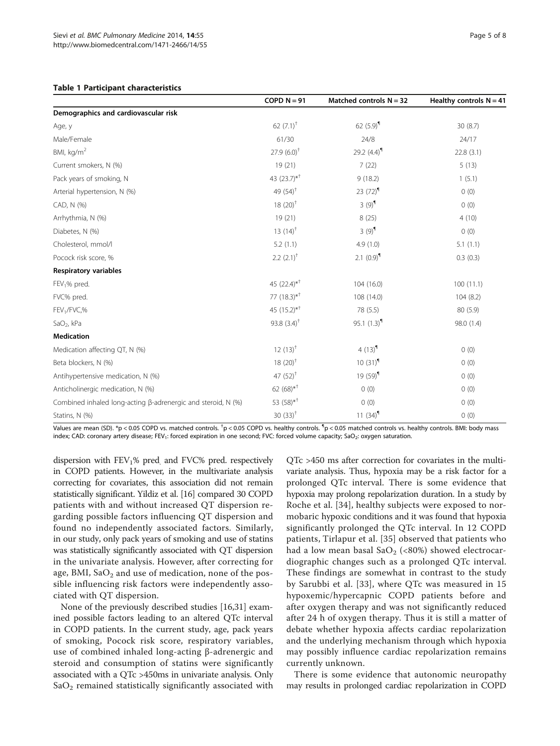<span id="page-4-0"></span>

|                                                              | COPD $N = 91$             | Matched controls $N = 32$ | Healthy controls $N = 41$ |
|--------------------------------------------------------------|---------------------------|---------------------------|---------------------------|
| Demographics and cardiovascular risk                         |                           |                           |                           |
| Age, y                                                       | 62 $(7.1)$ <sup>†</sup>   | 62 $(5.9)$ <sup>1</sup>   | 30(8.7)                   |
| Male/Female                                                  | 61/30                     | 24/8                      | 24/17                     |
| BMI, kg/m <sup>2</sup>                                       | $27.9(6.0)^{+}$           | 29.2 $(4.4)^{11}$         | 22.8(3.1)                 |
| Current smokers, N (%)                                       | 19(21)                    | 7(22)                     | 5(13)                     |
| Pack years of smoking, N                                     | 43 (23.7)* <sup>†</sup>   | 9(18.2)                   | 1(5.1)                    |
| Arterial hypertension, N (%)                                 | 49 $(54)^{+}$             | 23 $(72)^9$               | 0(0)                      |
| CAD, N (%)                                                   | $18(20)^{+}$              | $3(9)^9$                  | 0(0)                      |
| Arrhythmia, N (%)                                            | 19(21)                    | 8(25)                     | 4(10)                     |
| Diabetes, N (%)                                              | 13 $(14)^{+}$             | $3(9)^9$                  | 0(0)                      |
| Cholesterol, mmol/l                                          | 5.2(1.1)                  | 4.9(1.0)                  | 5.1(1.1)                  |
| Pocock risk score, %                                         | $2.2$ $(2.1)^{+}$         | 2.1 $(0.9)$ <sup>9</sup>  | 0.3(0.3)                  |
| <b>Respiratory variables</b>                                 |                           |                           |                           |
| FEV <sub>1</sub> % pred.                                     | 45 $(22.4)$ <sup>*†</sup> | 104 (16.0)                | 100(11.1)                 |
| FVC% pred.                                                   | 77 $(18.3)$ <sup>*†</sup> | 108 (14.0)                | 104(8.2)                  |
| FEV <sub>1</sub> /FVC,%                                      | 45 $(15.2)$ <sup>*†</sup> | 78 (5.5)                  | 80(5.9)                   |
| SaO <sub>2</sub> , kPa                                       | 93.8 $(3.4)^{+}$          | 95.1 $(1.3)$ <sup>9</sup> | 98.0 (1.4)                |
| <b>Medication</b>                                            |                           |                           |                           |
| Medication affecting QT, N (%)                               | $12(13)^{+}$              | 4 $(13)^9$                | 0(0)                      |
| Beta blockers, N (%)                                         | $18(20)^{+}$              | $10(31)^9$                | 0(0)                      |
| Antihypertensive medication, N (%)                           | 47 $(52)^{+}$             | $19(59)^9$                | 0(0)                      |
| Anticholinergic medication, N (%)                            | 62 $(68)*$ <sup>+</sup>   | 0(0)                      | 0(0)                      |
| Combined inhaled long-acting ß-adrenergic and steroid, N (%) | 53 $(58)*$ <sup>+</sup>   | 0(0)                      | 0(0)                      |
| Statins, N (%)                                               | 30 $(33)^{+}$             | 11 $(34)$ <sup>1</sup>    | 0(0)                      |

Values are mean (SD). \*p < 0.05 COPD vs. matched controls.  $^\dagger$ p < 0.05 COPD vs. healthy controls.  $^\dagger$ p < 0.05 matched controls vs. healthy controls. BMI: body mass index; CAD: coronary artery disease; FEV<sub>1</sub>: forced expiration in one second; FVC: forced volume capacity; SaO<sub>2</sub>: oxygen saturation.

dispersion with  $FEV<sub>1</sub>%$  pred and  $FVC%$  pred. respectively in COPD patients. However, in the multivariate analysis correcting for covariates, this association did not remain statistically significant. Yildiz et al. [\[16\]](#page-6-0) compared 30 COPD patients with and without increased QT dispersion regarding possible factors influencing QT dispersion and found no independently associated factors. Similarly, in our study, only pack years of smoking and use of statins was statistically significantly associated with QT dispersion in the univariate analysis. However, after correcting for age, BMI,  $CaO<sub>2</sub>$  and use of medication, none of the possible influencing risk factors were independently associated with QT dispersion.

None of the previously described studies [\[16,31](#page-6-0)] examined possible factors leading to an altered QTc interval in COPD patients. In the current study, age, pack years of smoking, Pocock risk score, respiratory variables, use of combined inhaled long-acting β-adrenergic and steroid and consumption of statins were significantly associated with a QTc >450ms in univariate analysis. Only  $SaO<sub>2</sub>$  remained statistically significantly associated with

QTc >450 ms after correction for covariates in the multivariate analysis. Thus, hypoxia may be a risk factor for a prolonged QTc interval. There is some evidence that hypoxia may prolong repolarization duration. In a study by Roche et al. [[34](#page-7-0)], healthy subjects were exposed to normobaric hypoxic conditions and it was found that hypoxia significantly prolonged the QTc interval. In 12 COPD patients, Tirlapur et al. [[35](#page-7-0)] observed that patients who had a low mean basal  $CaO<sub>2</sub>$  (<80%) showed electrocardiographic changes such as a prolonged QTc interval. These findings are somewhat in contrast to the study by Sarubbi et al. [\[33\]](#page-7-0), where QTc was measured in 15 hypoxemic/hypercapnic COPD patients before and after oxygen therapy and was not significantly reduced after 24 h of oxygen therapy. Thus it is still a matter of debate whether hypoxia affects cardiac repolarization and the underlying mechanism through which hypoxia may possibly influence cardiac repolarization remains currently unknown.

There is some evidence that autonomic neuropathy may results in prolonged cardiac repolarization in COPD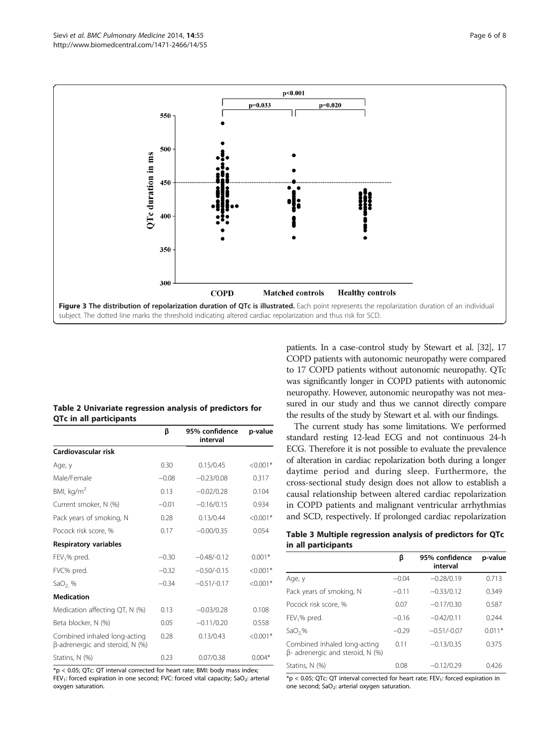<span id="page-5-0"></span>

#### Table 2 Univariate regression analysis of predictors for QTc in all participants

|                                                                           | ß       | 95% confidence<br>interval | p-value    |
|---------------------------------------------------------------------------|---------|----------------------------|------------|
| Cardiovascular risk                                                       |         |                            |            |
| Age, y                                                                    | 0.30    | 0.15/0.45                  | $< 0.001*$ |
| Male/Female                                                               | $-0.08$ | $-0.23/0.08$               | 0.317      |
| BMI, $kg/m2$                                                              | 0.13    | $-0.02/0.28$               | 0.104      |
| Current smoker, N (%)                                                     | $-0.01$ | $-0.16/0.15$               | 0.934      |
| Pack years of smoking, N                                                  | 0.28    | 0.13/0.44                  | $< 0.001*$ |
| Pocock risk score, %                                                      | 0.17    | $-0.00/0.35$               | 0.054      |
| <b>Respiratory variables</b>                                              |         |                            |            |
| FEV <sub>1</sub> % pred.                                                  | $-0.30$ | $-0.48/-0.12$              | $0.001*$   |
| FVC% pred.                                                                | $-0.32$ | $-0.50/-0.15$              | $< 0.001*$ |
| SaO <sub>2.</sub> %                                                       | $-0.34$ | $-0.51/-0.17$              | $< 0.001*$ |
| <b>Medication</b>                                                         |         |                            |            |
| Medication affecting QT, N (%)                                            | 0.13    | $-0.03/0.28$               | 0.108      |
| Beta blocker, N (%)                                                       | 0.05    | $-0.11/0.20$               | 0.558      |
| Combined inhaled long-acting<br>$\beta$ -adrenergic and steroid, N $(\%)$ | 0.28    | 0.13/0.43                  | $< 0.001*$ |
| Statins, N (%)                                                            | 0.23    | 0.07/0.38                  | $0.004*$   |

\*p < 0.05; QTc: QT interval corrected for heart rate; BMI: body mass index; FEV<sub>1</sub>: forced expiration in one second; FVC: forced vital capacity; SaO<sub>2</sub>: arterial oxygen saturation.

patients. In a case-control study by Stewart et al. [[32](#page-6-0)], 17 COPD patients with autonomic neuropathy were compared to 17 COPD patients without autonomic neuropathy. QTc was significantly longer in COPD patients with autonomic neuropathy. However, autonomic neuropathy was not measured in our study and thus we cannot directly compare the results of the study by Stewart et al. with our findings.

The current study has some limitations. We performed standard resting 12-lead ECG and not continuous 24-h ECG. Therefore it is not possible to evaluate the prevalence of alteration in cardiac repolarization both during a longer daytime period and during sleep. Furthermore, the cross-sectional study design does not allow to establish a causal relationship between altered cardiac repolarization in COPD patients and malignant ventricular arrhythmias and SCD, respectively. If prolonged cardiac repolarization

Table 3 Multiple regression analysis of predictors for QTc in all participants

|                                                                            | ß       | 95% confidence<br>interval | p-value  |
|----------------------------------------------------------------------------|---------|----------------------------|----------|
| Age, y                                                                     | $-0.04$ | $-0.28/0.19$               | 0.713    |
| Pack years of smoking, N                                                   | $-0.11$ | $-0.33/0.12$               | 0.349    |
| Pocock risk score, %                                                       | 0.07    | $-0.17/0.30$               | 0.587    |
| FEV <sub>1</sub> % pred.                                                   | $-0.16$ | $-0.42/0.11$               | 0.244    |
| $SaO2$ %                                                                   | $-0.29$ | $-0.51/-0.07$              | $0.011*$ |
| Combined inhaled long-acting<br>$\beta$ - adrenergic and steroid, N $(\%)$ | 0.11    | $-0.13/0.35$               | 0.375    |
| Statins, N (%)                                                             | 0.08    | $-0.12/0.29$               | 0.426    |

 $*p < 0.05$ ; QTc: QT interval corrected for heart rate; FEV<sub>1</sub>: forced expiration in one second; SaO<sub>2</sub>: arterial oxygen saturation.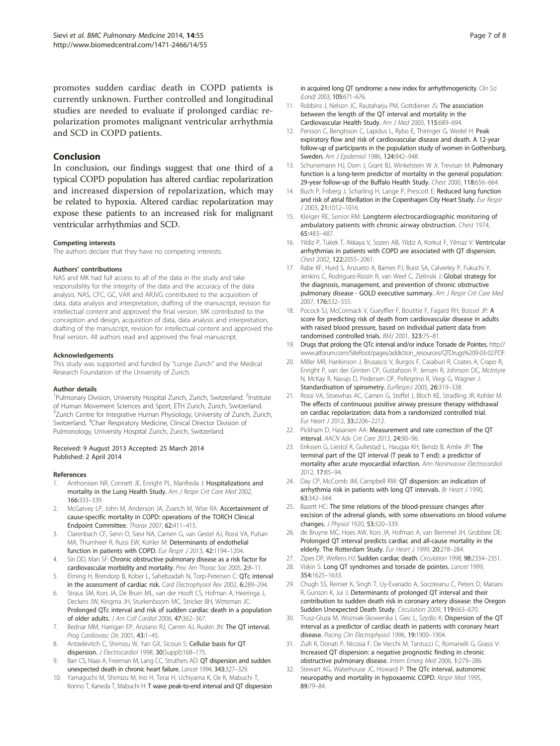<span id="page-6-0"></span>promotes sudden cardiac death in COPD patients is currently unknown. Further controlled and longitudinal studies are needed to evaluate if prolonged cardiac repolarization promotes malignant ventricular arrhythmia and SCD in COPD patients.

#### Conclusion

In conclusion, our findings suggest that one third of a typical COPD population has altered cardiac repolarization and increased dispersion of repolarization, which may be related to hypoxia. Altered cardiac repolarization may expose these patients to an increased risk for malignant ventricular arrhythmias and SCD.

#### Competing interests

The authors declare that they have no competing interests.

#### Authors' contributions

NAS and MK had full access to all of the data in the study and take responsibility for the integrity of the data and the accuracy of the data analysis. NAS, CFC, GC, VAR and ARJVG contributed to the acquisition of data, data analysis and interpretation, drafting of the manuscript, revision for intellectual content and approved the final version. MK contributed to the conception and design, acquisition of data, data analysis and interpretation, drafting of the manuscript, revision for intellectual content and approved the final version. All authors read and approved the final manuscript.

#### Acknowledgements

This study was supported and funded by "Lunge Zurich" and the Medical Research Foundation of the University of Zurich.

#### Author details

<sup>1</sup>Pulmonary Division, University Hospital Zurich, Zurich, Switzerland. <sup>2</sup>Institute of Human Movement Sciences and Sport, ETH Zurich, Zurich, Switzerland. <sup>3</sup>Zurich Centre for Integrative Human Physiology, University of Zurich, Zurich, Switzerland. <sup>4</sup>Chair Respiratory Medicine, Clinical Director Division of Pulmonology, University Hospital Zurich, Zurich, Switzerland.

#### Received: 9 August 2013 Accepted: 25 March 2014 Published: 2 April 2014

#### References

- 1. Anthonisen NR, Connett JE, Enright PL, Manfreda J: Hospitalizations and mortality in the Lung Health Study. Am J Respir Crit Care Med 2002, 166:333–339.
- 2. McGarvey LP, John M, Anderson JA, Zvarich M, Wise RA: Ascertainment of cause-specific mortality in COPD: operations of the TORCH Clinical Endpoint Committee. Thorax 2007, 62:411–415.
- 3. Clarenbach CF, Senn O, Sievi NA, Camen G, van Gestel AJ, Rossi VA, Puhan MA, Thurnheer R, Russi EW, Kohler M: Determinants of endothelial function in patients with COPD. Eur Respir J 2013, 42:1194-1204
- 4. Sin DD, Man SF: Chronic obstructive pulmonary disease as a risk factor for cardiovascular morbidity and mortality. Proc Am Thorac Soc 2005, 2:8–11.
- Elming H, Brendorp B, Kober L, Sahebzadah N, Torp-Petersen C: QTc interval in the assessment of cardiac risk. Card Electrophysiol Rev 2002, 6:289-294.
- 6. Straus SM, Kors JA, De Bruin ML, van der Hooft CS, Hofman A, Heeringa J, Deckers JW, Kingma JH, Sturkenboom MC, Stricker BH, Witteman JC: Prolonged QTc interval and risk of sudden cardiac death in a population of older adults. J Am Coll Cardiol 2006, 47:362–367.
- 7. Bednar MM, Harrigan EP, Anziano RJ, Camm AJ, Ruskin JN: The QT interval. Prog Cardiovasc Dis 2001, 43:1–45.
- Antzelevitch C, Shimizu W, Yan GX, Sicouri S: Cellular basis for QT dispersion. *J Electrocardiol* 1998, 30(Suppl):168-175.
- Barr CS, Naas A, Freeman M, Lang CC, Struthers AD: QT dispersion and sudden unexpected death in chronic heart failure. Lancet 1994, 343:327–329.
- 10. Yamaguchi M, Shimizu M, Ino H, Terai H, Uchiyama K, Oe K, Mabuchi T, Konno T, Kaneda T, Mabuchi H: T wave peak-to-end interval and QT dispersion

in acquired long QT syndrome: a new index for arrhythmogenicity. Clin Sci (Lond) 2003, 105:671–676.

- 11. Robbins J, Nelson JC, Rautaharju PM, Gottdiener JS: The association between the length of the QT interval and mortality in the Cardiovascular Health Study. Am J Med 2003, 115:689–694.
- 12. Persson C, Bengtsson C, Lapidus L, Rybo E, Thiringer G, Wedel H: Peak expiratory flow and risk of cardiovascular disease and death. A 12-year follow-up of participants in the population study of women in Gothenburg, Sweden. Am J Epidemiol 1986, 124:942–948.
- 13. Schunemann HJ, Dorn J, Grant BJ, Winkelstein W Jr, Trevisan M: Pulmonary function is a long-term predictor of mortality in the general population: 29-year follow-up of the Buffalo Health Study. Chest 2000, 118:656–664.
- 14. Buch P, Friberg J, Scharling H, Lange P, Prescott E: Reduced lung function and risk of atrial fibrillation in the Copenhagen City Heart Study. Eur Respir J 2003, 21:1012–1016.
- 15. Kleiger RE, Senior RM: Longterm electrocardiographic monitoring of ambulatory patients with chronic airway obstruction. Chest 1974, 65:483–487.
- 16. Yildiz P, Tukek T, Akkaya V, Sozen AB, Yildiz A, Korkut F, Yilmaz V: Ventricular arrhythmias in patients with COPD are associated with QT dispersion. Chest 2002, 122:2055–2061.
- 17. Rabe KF, Hurd S, Anzueto A, Barnes PJ, Buist SA, Calverley P, Fukuchi Y, Jenkins C, Rodriguez-Roisin R, van Weel C, Zielinski J: Global strategy for the diagnosis, management, and prevention of chronic obstructive pulmonary disease - GOLD executive summary. Am J Respir Crit Care Med 2007, 176:532–555.
- 18. Pocock SJ, McCormack V, Gueyffier F, Boutitie F, Fagard RH, Boissel JP: A score for predicting risk of death from cardiovascular disease in adults with raised blood pressure, based on individual patient data from randomised controlled trials. BMJ 2001, 323:75–81.
- 19. Drugs that prolong the QTc interval and/or induce Torsade de Pointes. [http://](http://www.atforum.com/SiteRoot/pages/addiction_resources/QTDrugs%209-03-02.PDF) [www.atforum.com/SiteRoot/pages/addiction\\_resources/QTDrugs%209-03-02.PDF](http://www.atforum.com/SiteRoot/pages/addiction_resources/QTDrugs%209-03-02.PDF).
- 20. Miller MR, Hankinson J, Brusasco V, Burgos F, Casaburi R, Coates A, Crapo R, Enright P, van der Grinten CP, Gustafsson P, Jensen R, Johnson DC, McIntyre N, McKay R, Navajs D, Pedersen OF, Pellegrino R, Viegi G, Wagner J: Standardisation of spirometry. EurRespirJ 2005, 26:319-338.
- 21. Rossi VA, Stoewhas AC, Camen G, Steffel J, Bloch KE, Stradling JR, Kohler M: The effects of continuous positive airway pressure therapy withdrawal on cardiac repolarization: data from a randomized controlled trial. Eur Heart J 2012, 33:2206–2212.
- 22. Pickham D, Hasanien AA: Measurement and rate correction of the QT interval. AACN Adv Crit Care 2013, 24:90–96.
- 23. Erikssen G, Liestol K, Gullestad L, Haugaa KH, Bendz B, Amlie JP: The terminal part of the QT interval (T peak to T end): a predictor of mortality after acute myocardial infarction. Ann Noninvasive Electrocardiol 2012, 17:85–94.
- 24. Day CP, McComb JM, Campbell RW: QT dispersion: an indication of arrhythmia risk in patients with long QT intervals. Br Heart J 1990, 63:342–344.
- 25. Bazett HC: The time relations of the blood-pressure changes after excision of the adrenal glands, with some observations on blood volume changes. J Physiol 1920, 53:320–339.
- 26. de Bruyne MC, Hoes AW, Kors JA, Hofman A, van Bemmel JH, Grobbee DE: Prolonged QT interval predicts cardiac and all-cause mortality in the elderly. The Rotterdam Study. Eur Heart J 1999, 20:278-284.
- 27. Zipes DP, Wellens HJ: Sudden cardiac death. Circulation 1998, 98:2334-2351.
- 28. Viskin S: Long QT syndromes and torsade de pointes. Lancet 1999, 354:1625–1633.
- 29. Chugh SS, Reinier K, Singh T, Uy-Evanado A, Socoteanu C, Peters D, Mariani R, Gunson K, Jui J: Determinants of prolonged QT interval and their contribution to sudden death risk in coronary artery disease: the Oregon Sudden Unexpected Death Study. Circulation 2009, 119:663–670.
- 30. Trusz-Gluza M, Wozniak-Skowerska I, Giec L, Szydlo K: Dispersion of the QT interval as a predictor of cardiac death in patients with coronary heart disease. Pacing Clin Electrophysiol 1996, 19:1900-1904.
- 31. Zulli R, Donati P, Nicosia F, De Vecchi M, Tantucci C, Romanelli G, Grassi V: Increased QT dispersion: a negative prognostic finding in chronic obstructive pulmonary disease. Intern Emerg Med 2006, 1:279–286.
- 32. Stewart AG, Waterhouse JC, Howard P: The QTc interval, autonomic neuropathy and mortality in hypoxaemic COPD. Respir Med 1995, 89:79–84.